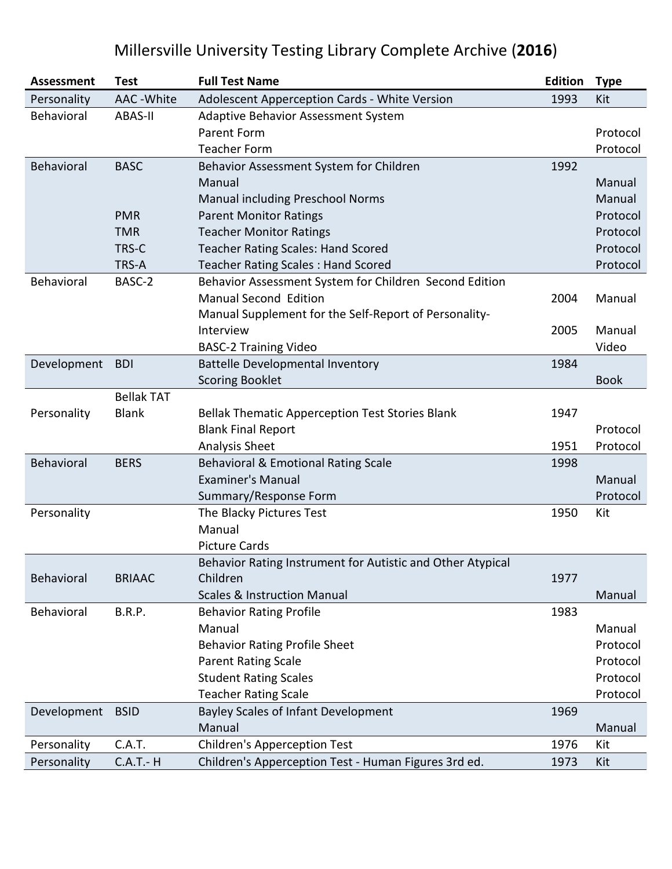### **Assessment Test Full Test Name Edition Type** Personality AAC -White Adolescent Apperception Cards - White Version 1993 Kit Behavioral ABAS-II Adaptive Behavior Assessment System Parent Form **Protocol** Teacher Form Protocol Behavioral BASC Behavior Assessment System for Children 1992 Manual Manual Manual including Preschool Norms Manual Manual Manual **PMR** Parent Monitor Ratings **PMR** Protocol **TMR** Teacher Monitor Ratings **Protocol Protocol** TRS-C Teacher Rating Scales: Hand Scored **Protocol** Protocol TRS-A Teacher Rating Scales : Hand Scored **Protocol** Protocol Behavioral BASC-2 Behavior Assessment System for Children Second Edition Manual Second Edition 2004 Manual Manual Supplement for the Self-Report of Personality-Interview 2005 Manual BASC-2 Training Video Video Video Video Video Video Video Video Video Video Video Development BDI Battelle Developmental Inventory 1984 Scoring Booklet Bookley and the state and the state and the state Bookley Book Personality Bellak TAT Blank Bellak Thematic Apperception Test Stories Blank 1947 Blank Final Report **Protocol** Analysis Sheet 2008 and 2009 and 2010 and 2010 and 2010 and 2010 and 2010 and 2010 and 2010 and 2010 and 2010 Behavioral BERS Behavioral & Emotional Rating Scale 1998 Examiner's Manual Manual Manual Manual Manual Manual Manual Manual Manual Manual Manual Manual Manual Manual M Summary/Response Form Protocol Protocol Personality **The Blacky Pictures Test** 1950 Kit Manual Picture Cards Behavioral BRIAAC Behavior Rating Instrument for Autistic and Other Atypical Children 1977 Scales & Instruction Manual Manual Manual Manual Manual Manual Manual Manual Manual Manual Manual Manual Manua Behavioral B.R.P. Behavior Rating Profile **1983** Manual Manual Behavior Rating Profile Sheet **Protocol** Parent Rating Scale **Protocol** Student Rating Scales **Protocol** Teacher Rating Scale **Protocol** Protocol Development BSID Bayley Scales of Infant Development 1969 Manual Manual Personality C.A.T. Children's Apperception Test 1976 Kit Personality C.A.T.- H Children's Apperception Test - Human Figures 3rd ed. 1973 Kit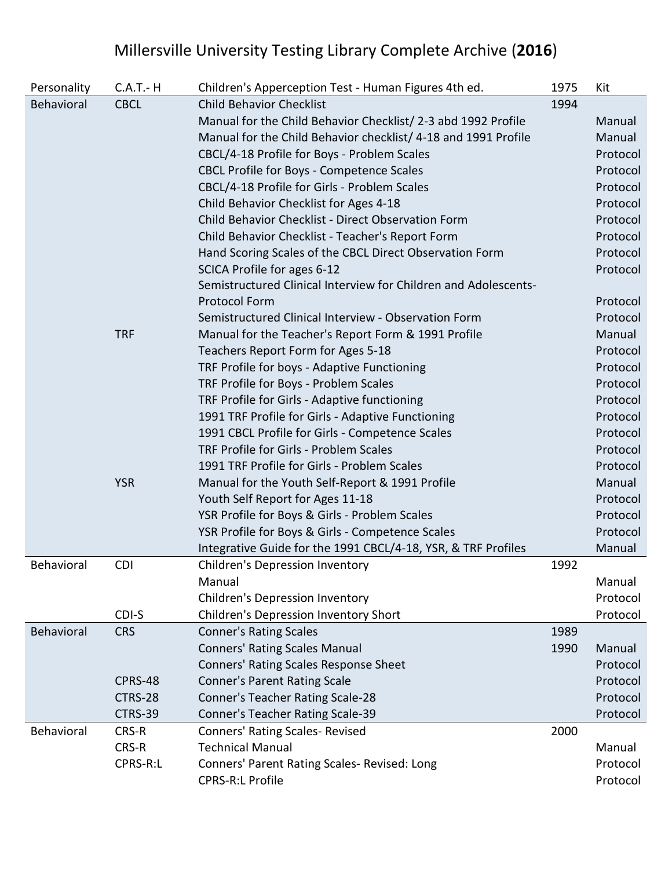| Personality | $C.A.T.-H$  | Children's Apperception Test - Human Figures 4th ed.            | 1975 | Kit      |
|-------------|-------------|-----------------------------------------------------------------|------|----------|
| Behavioral  | <b>CBCL</b> | <b>Child Behavior Checklist</b>                                 | 1994 |          |
|             |             | Manual for the Child Behavior Checklist/ 2-3 abd 1992 Profile   |      | Manual   |
|             |             | Manual for the Child Behavior checklist/ 4-18 and 1991 Profile  |      | Manual   |
|             |             | CBCL/4-18 Profile for Boys - Problem Scales                     |      | Protocol |
|             |             | CBCL Profile for Boys - Competence Scales                       |      | Protocol |
|             |             | CBCL/4-18 Profile for Girls - Problem Scales                    |      | Protocol |
|             |             | Child Behavior Checklist for Ages 4-18                          |      | Protocol |
|             |             | Child Behavior Checklist - Direct Observation Form              |      | Protocol |
|             |             | Child Behavior Checklist - Teacher's Report Form                |      | Protocol |
|             |             | Hand Scoring Scales of the CBCL Direct Observation Form         |      | Protocol |
|             |             | SCICA Profile for ages 6-12                                     |      | Protocol |
|             |             | Semistructured Clinical Interview for Children and Adolescents- |      |          |
|             |             | <b>Protocol Form</b>                                            |      | Protocol |
|             |             | Semistructured Clinical Interview - Observation Form            |      | Protocol |
|             | <b>TRF</b>  | Manual for the Teacher's Report Form & 1991 Profile             |      | Manual   |
|             |             | Teachers Report Form for Ages 5-18                              |      | Protocol |
|             |             | TRF Profile for boys - Adaptive Functioning                     |      | Protocol |
|             |             | TRF Profile for Boys - Problem Scales                           |      | Protocol |
|             |             | TRF Profile for Girls - Adaptive functioning                    |      | Protocol |
|             |             | 1991 TRF Profile for Girls - Adaptive Functioning               |      | Protocol |
|             |             | 1991 CBCL Profile for Girls - Competence Scales                 |      | Protocol |
|             |             | TRF Profile for Girls - Problem Scales                          |      | Protocol |
|             |             | 1991 TRF Profile for Girls - Problem Scales                     |      | Protocol |
|             | <b>YSR</b>  | Manual for the Youth Self-Report & 1991 Profile                 |      | Manual   |
|             |             | Youth Self Report for Ages 11-18                                |      | Protocol |
|             |             | YSR Profile for Boys & Girls - Problem Scales                   |      | Protocol |
|             |             | YSR Profile for Boys & Girls - Competence Scales                |      | Protocol |
|             |             | Integrative Guide for the 1991 CBCL/4-18, YSR, & TRF Profiles   |      | Manual   |
| Behavioral  | <b>CDI</b>  | <b>Children's Depression Inventory</b>                          | 1992 |          |
|             |             | Manual                                                          |      | Manual   |
|             |             | Children's Depression Inventory                                 |      | Protocol |
|             | CDI-S       | Children's Depression Inventory Short                           |      | Protocol |
| Behavioral  | <b>CRS</b>  | <b>Conner's Rating Scales</b>                                   | 1989 |          |
|             |             | <b>Conners' Rating Scales Manual</b>                            | 1990 | Manual   |
|             |             | Conners' Rating Scales Response Sheet                           |      | Protocol |
|             | CPRS-48     | <b>Conner's Parent Rating Scale</b>                             |      | Protocol |
|             | CTRS-28     | Conner's Teacher Rating Scale-28                                |      | Protocol |
|             | CTRS-39     | Conner's Teacher Rating Scale-39                                |      | Protocol |
| Behavioral  | CRS-R       | <b>Conners' Rating Scales- Revised</b>                          | 2000 |          |
|             | CRS-R       | <b>Technical Manual</b>                                         |      | Manual   |
|             | CPRS-R:L    | Conners' Parent Rating Scales- Revised: Long                    |      | Protocol |
|             |             | CPRS-R:L Profile                                                |      | Protocol |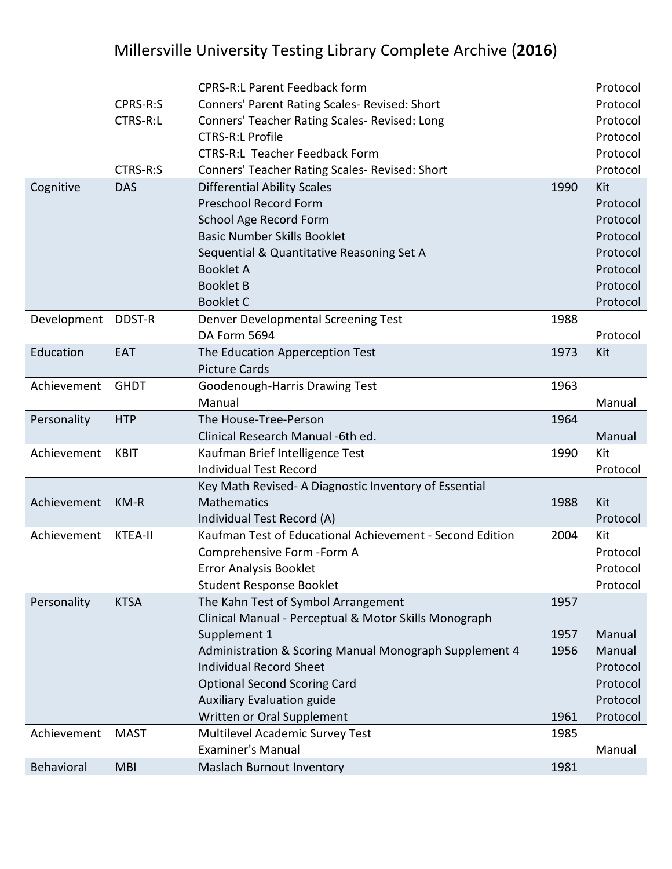|             |                 | <b>CPRS-R:L Parent Feedback form</b>                     |      | Protocol |
|-------------|-----------------|----------------------------------------------------------|------|----------|
|             | CPRS-R:S        | Conners' Parent Rating Scales- Revised: Short            |      | Protocol |
|             | <b>CTRS-R:L</b> | Conners' Teacher Rating Scales- Revised: Long            |      | Protocol |
|             |                 | <b>CTRS-R:L Profile</b>                                  |      | Protocol |
|             |                 | <b>CTRS-R:L Teacher Feedback Form</b>                    |      | Protocol |
|             | CTRS-R:S        | Conners' Teacher Rating Scales- Revised: Short           |      | Protocol |
| Cognitive   | <b>DAS</b>      | <b>Differential Ability Scales</b>                       | 1990 | Kit      |
|             |                 | <b>Preschool Record Form</b>                             |      | Protocol |
|             |                 | School Age Record Form                                   |      | Protocol |
|             |                 | <b>Basic Number Skills Booklet</b>                       |      | Protocol |
|             |                 | Sequential & Quantitative Reasoning Set A                |      | Protocol |
|             |                 | <b>Booklet A</b>                                         |      | Protocol |
|             |                 | <b>Booklet B</b>                                         |      | Protocol |
|             |                 | <b>Booklet C</b>                                         |      | Protocol |
| Development | DDST-R          | Denver Developmental Screening Test                      | 1988 |          |
|             |                 | DA Form 5694                                             |      | Protocol |
| Education   | EAT             | The Education Apperception Test                          | 1973 | Kit      |
|             |                 | <b>Picture Cards</b>                                     |      |          |
| Achievement | <b>GHDT</b>     | Goodenough-Harris Drawing Test                           | 1963 |          |
|             |                 | Manual                                                   |      | Manual   |
| Personality | <b>HTP</b>      | The House-Tree-Person                                    | 1964 |          |
|             |                 | Clinical Research Manual -6th ed.                        |      | Manual   |
| Achievement | <b>KBIT</b>     | Kaufman Brief Intelligence Test                          | 1990 | Kit      |
|             |                 | <b>Individual Test Record</b>                            |      | Protocol |
|             |                 | Key Math Revised- A Diagnostic Inventory of Essential    |      |          |
| Achievement | $KM-R$          | <b>Mathematics</b>                                       | 1988 | Kit      |
|             |                 | Individual Test Record (A)                               |      | Protocol |
| Achievement | <b>KTEA-II</b>  | Kaufman Test of Educational Achievement - Second Edition | 2004 | Kit      |
|             |                 | Comprehensive Form - Form A                              |      | Protocol |
|             |                 | Error Analysis Booklet                                   |      | Protocol |
|             |                 | <b>Student Response Booklet</b>                          |      | Protocol |
| Personality | <b>KTSA</b>     | The Kahn Test of Symbol Arrangement                      | 1957 |          |
|             |                 | Clinical Manual - Perceptual & Motor Skills Monograph    |      |          |
|             |                 | Supplement 1                                             | 1957 | Manual   |
|             |                 | Administration & Scoring Manual Monograph Supplement 4   | 1956 | Manual   |
|             |                 | <b>Individual Record Sheet</b>                           |      | Protocol |
|             |                 | <b>Optional Second Scoring Card</b>                      |      | Protocol |
|             |                 | <b>Auxiliary Evaluation guide</b>                        |      | Protocol |
|             |                 | Written or Oral Supplement                               | 1961 | Protocol |
| Achievement | <b>MAST</b>     | Multilevel Academic Survey Test                          | 1985 |          |
|             |                 | <b>Examiner's Manual</b>                                 |      | Manual   |
| Behavioral  | <b>MBI</b>      | Maslach Burnout Inventory                                | 1981 |          |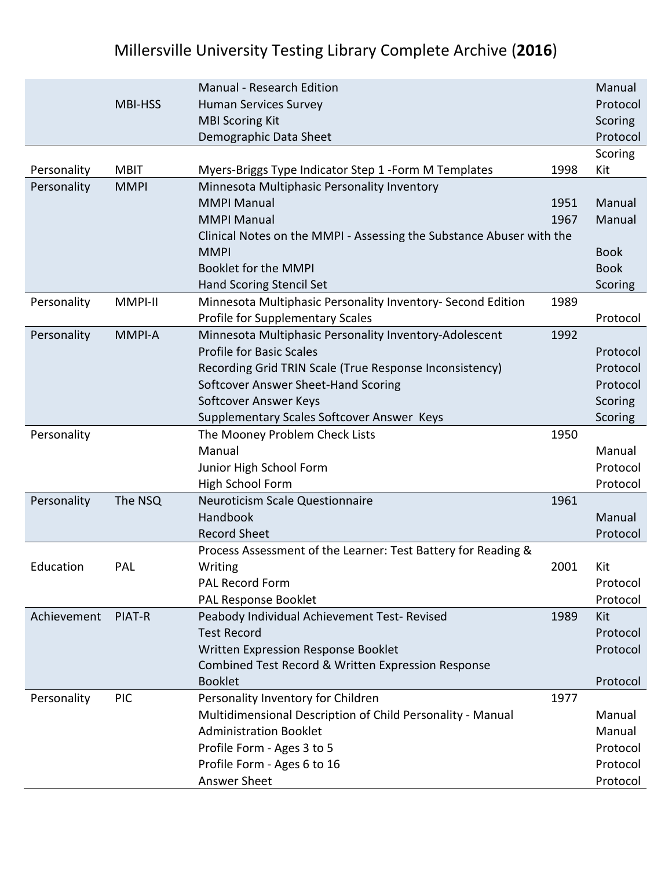|             |                | <b>Manual - Research Edition</b>                                     |      | Manual      |
|-------------|----------------|----------------------------------------------------------------------|------|-------------|
|             | <b>MBI-HSS</b> | <b>Human Services Survey</b>                                         |      | Protocol    |
|             |                | <b>MBI Scoring Kit</b>                                               |      | Scoring     |
|             |                | Demographic Data Sheet                                               |      | Protocol    |
|             |                |                                                                      |      | Scoring     |
| Personality | <b>MBIT</b>    | Myers-Briggs Type Indicator Step 1 - Form M Templates                | 1998 | Kit         |
| Personality | <b>MMPI</b>    | Minnesota Multiphasic Personality Inventory                          |      |             |
|             |                | <b>MMPI Manual</b>                                                   | 1951 | Manual      |
|             |                | <b>MMPI Manual</b>                                                   | 1967 | Manual      |
|             |                | Clinical Notes on the MMPI - Assessing the Substance Abuser with the |      |             |
|             |                | <b>MMPI</b>                                                          |      | <b>Book</b> |
|             |                | <b>Booklet for the MMPI</b>                                          |      | <b>Book</b> |
|             |                | Hand Scoring Stencil Set                                             |      | Scoring     |
| Personality | MMPI-II        | Minnesota Multiphasic Personality Inventory- Second Edition          | 1989 |             |
|             |                | Profile for Supplementary Scales                                     |      | Protocol    |
| Personality | <b>MMPI-A</b>  | Minnesota Multiphasic Personality Inventory-Adolescent               | 1992 |             |
|             |                | <b>Profile for Basic Scales</b>                                      |      | Protocol    |
|             |                | Recording Grid TRIN Scale (True Response Inconsistency)              |      | Protocol    |
|             |                | Softcover Answer Sheet-Hand Scoring                                  |      | Protocol    |
|             |                | Softcover Answer Keys                                                |      | Scoring     |
|             |                | Supplementary Scales Softcover Answer Keys                           |      | Scoring     |
| Personality |                | The Mooney Problem Check Lists                                       | 1950 |             |
|             |                | Manual                                                               |      | Manual      |
|             |                | Junior High School Form                                              |      | Protocol    |
|             |                | High School Form                                                     |      | Protocol    |
| Personality | The NSQ        | <b>Neuroticism Scale Questionnaire</b>                               | 1961 |             |
|             |                | Handbook                                                             |      | Manual      |
|             |                | <b>Record Sheet</b>                                                  |      | Protocol    |
|             |                | Process Assessment of the Learner: Test Battery for Reading &        |      |             |
| Education   | PAL            | Writing                                                              | 2001 | Kit         |
|             |                | <b>PAL Record Form</b>                                               |      | Protocol    |
|             |                | PAL Response Booklet                                                 |      | Protocol    |
| Achievement | PIAT-R         | Peabody Individual Achievement Test- Revised                         | 1989 | Kit         |
|             |                | <b>Test Record</b>                                                   |      | Protocol    |
|             |                | Written Expression Response Booklet                                  |      | Protocol    |
|             |                | Combined Test Record & Written Expression Response                   |      |             |
|             |                | <b>Booklet</b>                                                       |      | Protocol    |
| Personality | <b>PIC</b>     | Personality Inventory for Children                                   | 1977 |             |
|             |                | Multidimensional Description of Child Personality - Manual           |      | Manual      |
|             |                | <b>Administration Booklet</b>                                        |      | Manual      |
|             |                | Profile Form - Ages 3 to 5                                           |      | Protocol    |
|             |                | Profile Form - Ages 6 to 16                                          |      | Protocol    |
|             |                | Answer Sheet                                                         |      | Protocol    |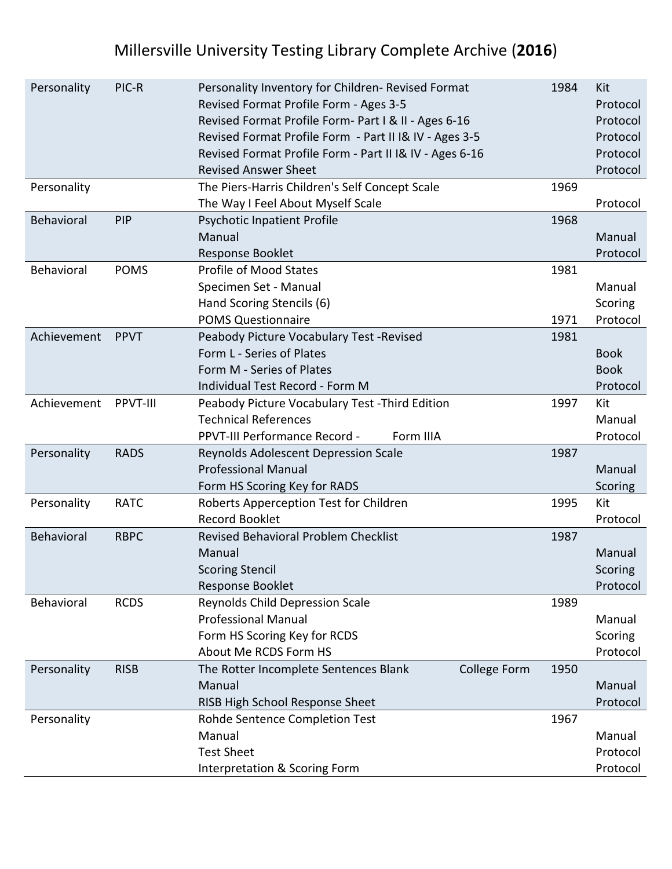| Personality       | PIC-R       | Personality Inventory for Children-Revised Format       | 1984 | Kit         |
|-------------------|-------------|---------------------------------------------------------|------|-------------|
|                   |             | Revised Format Profile Form - Ages 3-5                  |      | Protocol    |
|                   |             | Revised Format Profile Form- Part I & II - Ages 6-16    |      | Protocol    |
|                   |             | Revised Format Profile Form - Part II I& IV - Ages 3-5  |      | Protocol    |
|                   |             | Revised Format Profile Form - Part II I& IV - Ages 6-16 |      | Protocol    |
|                   |             | <b>Revised Answer Sheet</b>                             |      | Protocol    |
| Personality       |             | The Piers-Harris Children's Self Concept Scale          | 1969 |             |
|                   |             | The Way I Feel About Myself Scale                       |      | Protocol    |
| <b>Behavioral</b> | PIP         | <b>Psychotic Inpatient Profile</b>                      | 1968 |             |
|                   |             | Manual                                                  |      | Manual      |
|                   |             | Response Booklet                                        |      | Protocol    |
| Behavioral        | <b>POMS</b> | <b>Profile of Mood States</b>                           | 1981 |             |
|                   |             | Specimen Set - Manual                                   |      | Manual      |
|                   |             | Hand Scoring Stencils (6)                               |      | Scoring     |
|                   |             | <b>POMS Questionnaire</b>                               | 1971 | Protocol    |
| Achievement       | <b>PPVT</b> | Peabody Picture Vocabulary Test - Revised               | 1981 |             |
|                   |             | Form L - Series of Plates                               |      | <b>Book</b> |
|                   |             | Form M - Series of Plates                               |      | <b>Book</b> |
|                   |             | Individual Test Record - Form M                         |      | Protocol    |
| Achievement       | PPVT-III    | Peabody Picture Vocabulary Test - Third Edition         | 1997 | Kit         |
|                   |             | <b>Technical References</b>                             |      | Manual      |
|                   |             | PPVT-III Performance Record -<br>Form IIIA              |      | Protocol    |
| Personality       | <b>RADS</b> | Reynolds Adolescent Depression Scale                    | 1987 |             |
|                   |             | <b>Professional Manual</b>                              |      | Manual      |
|                   |             | Form HS Scoring Key for RADS                            |      | Scoring     |
| Personality       | <b>RATC</b> | Roberts Apperception Test for Children                  | 1995 | Kit         |
|                   |             | <b>Record Booklet</b>                                   |      | Protocol    |
| Behavioral        | <b>RBPC</b> | <b>Revised Behavioral Problem Checklist</b>             | 1987 |             |
|                   |             | Manual                                                  |      | Manual      |
|                   |             | <b>Scoring Stencil</b>                                  |      | Scoring     |
|                   |             | <b>Response Booklet</b>                                 |      | Protocol    |
| Behavioral        | <b>RCDS</b> | Reynolds Child Depression Scale                         | 1989 |             |
|                   |             | <b>Professional Manual</b>                              |      | Manual      |
|                   |             | Form HS Scoring Key for RCDS                            |      | Scoring     |
|                   |             | About Me RCDS Form HS                                   |      | Protocol    |
| Personality       | <b>RISB</b> | College Form<br>The Rotter Incomplete Sentences Blank   | 1950 |             |
|                   |             | Manual                                                  |      | Manual      |
|                   |             | RISB High School Response Sheet                         |      | Protocol    |
| Personality       |             | Rohde Sentence Completion Test                          | 1967 |             |
|                   |             | Manual                                                  |      | Manual      |
|                   |             | <b>Test Sheet</b>                                       |      | Protocol    |
|                   |             | Interpretation & Scoring Form                           |      | Protocol    |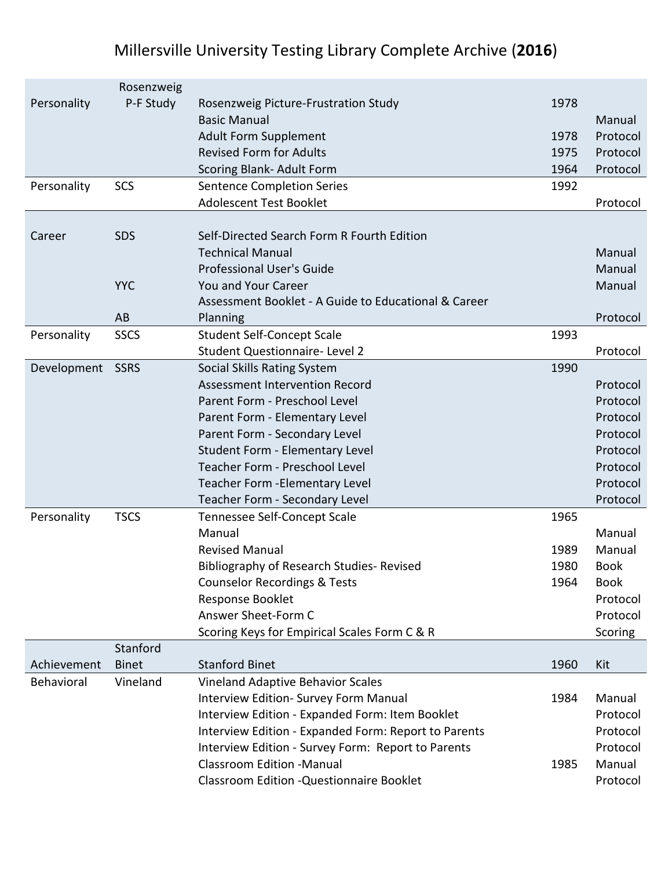|             | Rosenzweig   |                                                      |      |             |
|-------------|--------------|------------------------------------------------------|------|-------------|
| Personality | P-F Study    | Rosenzweig Picture-Frustration Study                 | 1978 |             |
|             |              | <b>Basic Manual</b>                                  |      | Manual      |
|             |              | <b>Adult Form Supplement</b>                         | 1978 | Protocol    |
|             |              | <b>Revised Form for Adults</b>                       | 1975 | Protocol    |
|             |              | Scoring Blank- Adult Form                            | 1964 | Protocol    |
| Personality | SCS          | <b>Sentence Completion Series</b>                    | 1992 |             |
|             |              | <b>Adolescent Test Booklet</b>                       |      | Protocol    |
|             |              |                                                      |      |             |
| Career      | <b>SDS</b>   | Self-Directed Search Form R Fourth Edition           |      |             |
|             |              | <b>Technical Manual</b>                              |      | Manual      |
|             |              | <b>Professional User's Guide</b>                     |      | Manual      |
|             | <b>YYC</b>   | You and Your Career                                  |      | Manual      |
|             |              | Assessment Booklet - A Guide to Educational & Career |      |             |
|             | AB           | Planning                                             |      | Protocol    |
| Personality | <b>SSCS</b>  | <b>Student Self-Concept Scale</b>                    | 1993 |             |
|             |              | Student Questionnaire- Level 2                       |      | Protocol    |
| Development | SSRS         | Social Skills Rating System                          | 1990 |             |
|             |              | Assessment Intervention Record                       |      | Protocol    |
|             |              | Parent Form - Preschool Level                        |      | Protocol    |
|             |              | Parent Form - Elementary Level                       |      | Protocol    |
|             |              | Parent Form - Secondary Level                        |      | Protocol    |
|             |              | <b>Student Form - Elementary Level</b>               |      | Protocol    |
|             |              | Teacher Form - Preschool Level                       |      | Protocol    |
|             |              | Teacher Form - Elementary Level                      |      | Protocol    |
|             |              | Teacher Form - Secondary Level                       |      | Protocol    |
| Personality | <b>TSCS</b>  | Tennessee Self-Concept Scale                         | 1965 |             |
|             |              | Manual                                               |      | Manual      |
|             |              | <b>Revised Manual</b>                                | 1989 | Manual      |
|             |              | <b>Bibliography of Research Studies- Revised</b>     | 1980 | <b>Book</b> |
|             |              | <b>Counselor Recordings &amp; Tests</b>              | 1964 | <b>Book</b> |
|             |              | Response Booklet                                     |      | Protocol    |
|             |              | Answer Sheet-Form C                                  |      | Protocol    |
|             |              | Scoring Keys for Empirical Scales Form C & R         |      | Scoring     |
|             | Stanford     |                                                      |      |             |
| Achievement | <b>Binet</b> | <b>Stanford Binet</b>                                | 1960 | Kit         |
| Behavioral  | Vineland     | Vineland Adaptive Behavior Scales                    |      |             |
|             |              | Interview Edition- Survey Form Manual                | 1984 | Manual      |
|             |              | Interview Edition - Expanded Form: Item Booklet      |      | Protocol    |
|             |              | Interview Edition - Expanded Form: Report to Parents |      | Protocol    |
|             |              | Interview Edition - Survey Form: Report to Parents   |      | Protocol    |
|             |              | <b>Classroom Edition -Manual</b>                     | 1985 | Manual      |
|             |              | Classroom Edition - Questionnaire Booklet            |      | Protocol    |